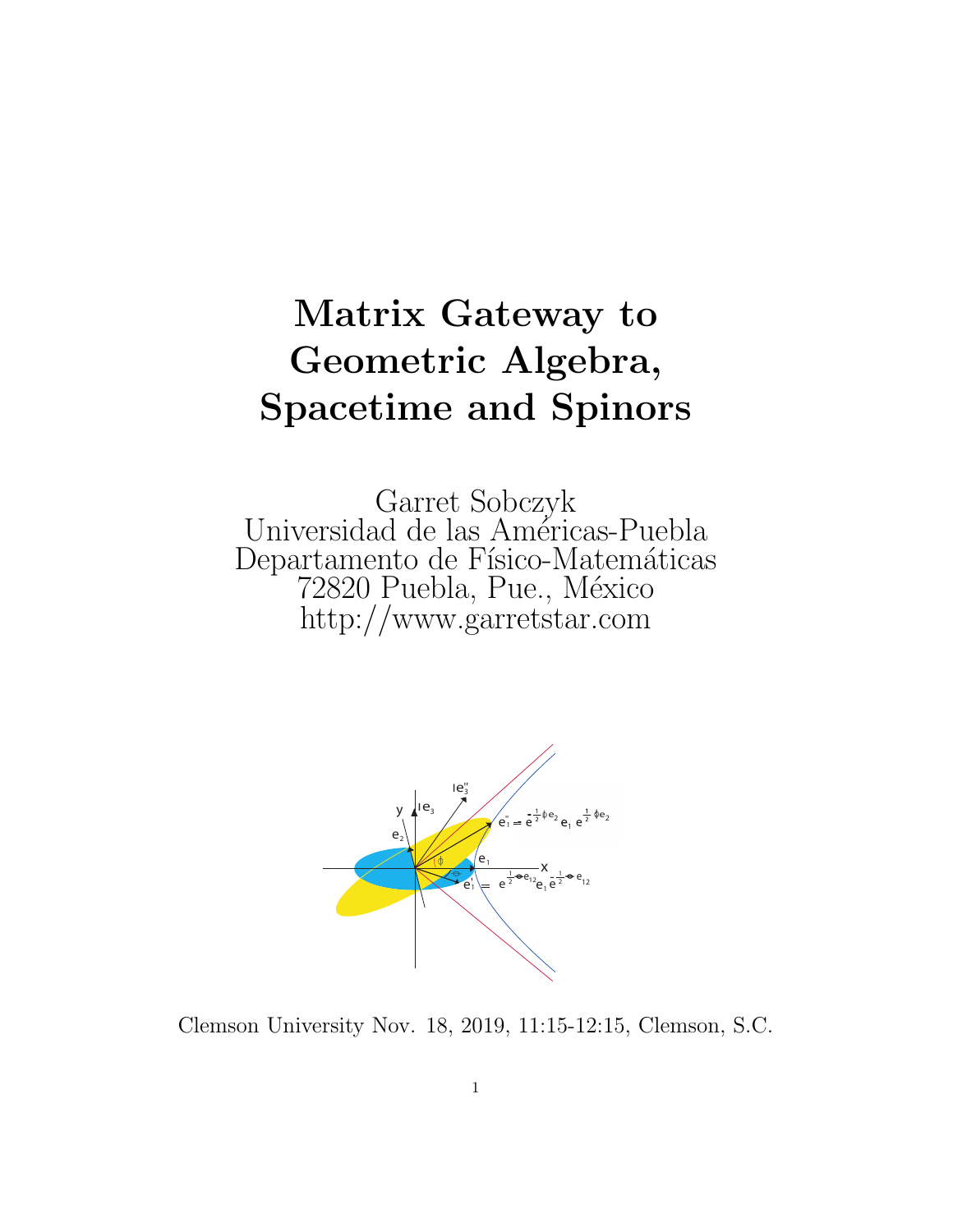## Matrix Gateway to Geometric Algebra, **Spacetime and Spinors**

Garret Sobczyk<br>Universidad de las Américas-Puebla Departamento de Físico-Matemáticas 72820 Puebla, Pue., México http://www.garretstar.com



Clemson University Nov. 18, 2019, 11:15-12:15, Clemson, S.C.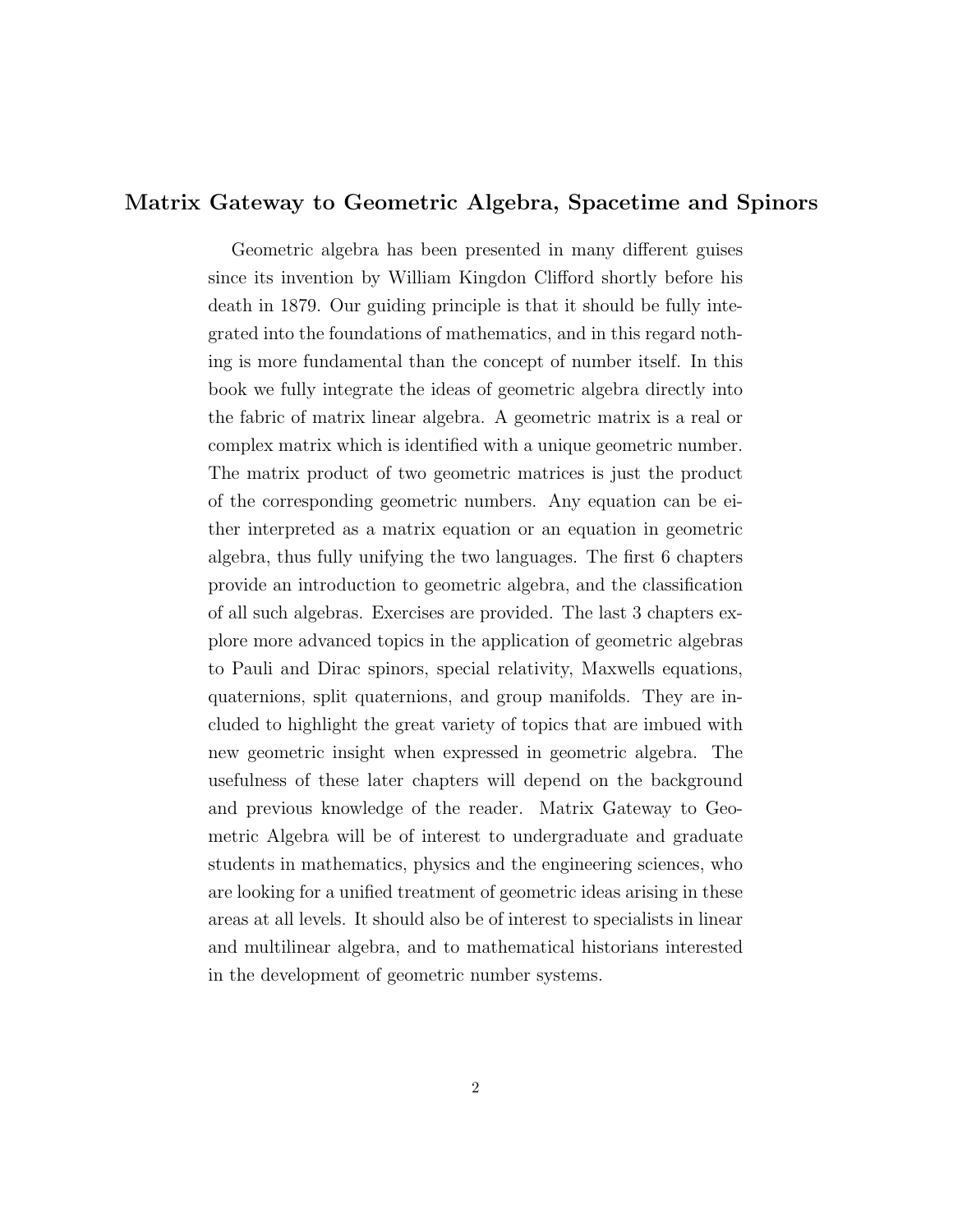#### Matrix Gateway to Geometric Algebra, Spacetime and Spinors

Geometric algebra has been presented in many different guises since its invention by William Kingdon Clifford shortly before his death in 1879. Our guiding principle is that it should be fully integrated into the foundations of mathematics, and in this regard nothing is more fundamental than the concept of number itself. In this book we fully integrate the ideas of geometric algebra directly into the fabric of matrix linear algebra. A geometric matrix is a real or complex matrix which is identified with a unique geometric number. The matrix product of two geometric matrices is just the product of the corresponding geometric numbers. Any equation can be either interpreted as a matrix equation or an equation in geometric algebra, thus fully unifying the two languages. The first 6 chapters provide an introduction to geometric algebra, and the classification of all such algebras. Exercises are provided. The last 3 chapters explore more advanced topics in the application of geometric algebras to Pauli and Dirac spinors, special relativity, Maxwells equations, quaternions, split quaternions, and group manifolds. They are included to highlight the great variety of topics that are imbued with new geometric insight when expressed in geometric algebra. The usefulness of these later chapters will depend on the background and previous knowledge of the reader. Matrix Gateway to Geometric Algebra will be of interest to undergraduate and graduate students in mathematics, physics and the engineering sciences, who are looking for a unified treatment of geometric ideas arising in these areas at all levels. It should also be of interest to specialists in linear and multilinear algebra, and to mathematical historians interested in the development of geometric number systems.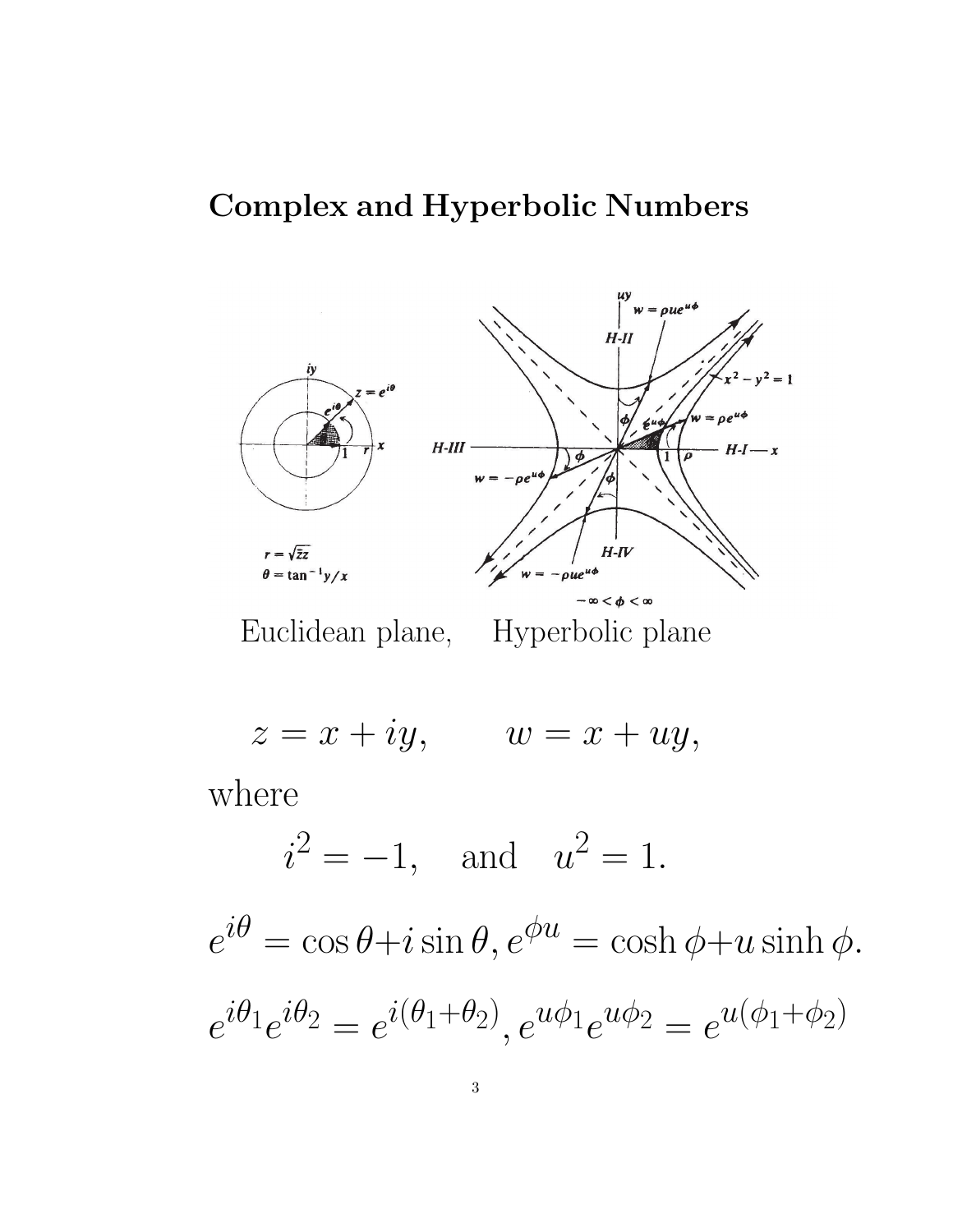### Complex and Hyperbolic Numbers



Euclidean plane, Hyperbolic plane

 $z = x + iy$ ,  $w = x + uy$ ,

where

 $i^2 = -1$ , and  $u^2 = 1$ .

 $e^{i\theta} = \cos\theta + i\sin\theta, e^{\phi u} = \cosh\phi + u\sinh\phi.$  $e^{i\theta_1}e^{i\theta_2}=e^{i(\theta_1+\theta_2)},e^{u\phi_1}e^{u\phi_2}=e^{u(\phi_1+\phi_2)}$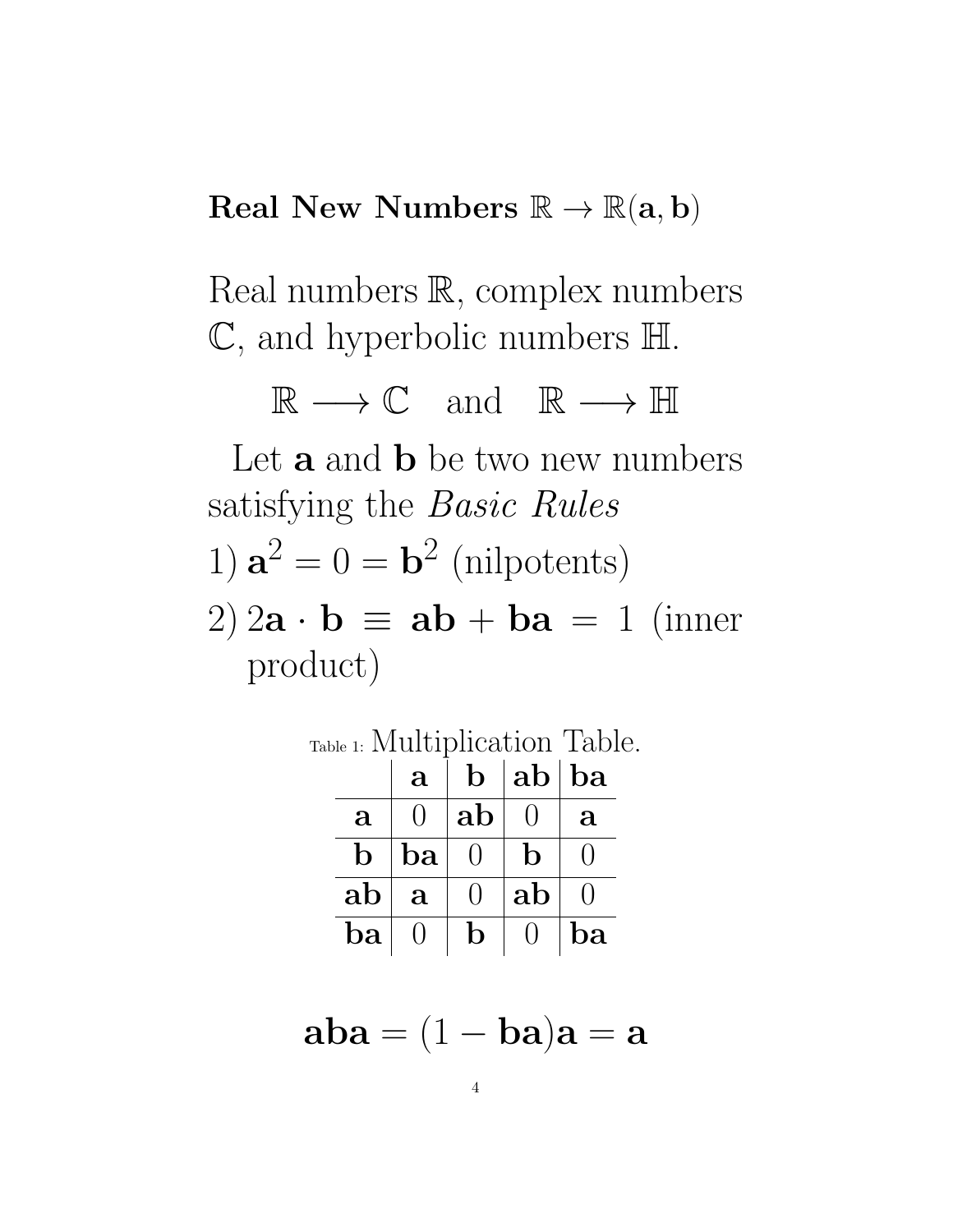### Real New Numbers  $\mathbb{R} \to \mathbb{R}(\mathbf{a}, \mathbf{b})$

Real numbers R, complex numbers C, and hyperbolic numbers H.

 $\mathbb{R} \longrightarrow \mathbb{C}$  and  $\mathbb{R} \longrightarrow \mathbb{H}$ 

Let  $\bf{a}$  and  $\bf{b}$  be two new numbers satisfying the Basic Rules 1)  $\mathbf{a}^2 = 0 = \mathbf{b}^2$  (nilpotents) 2)  $2\mathbf{a} \cdot \mathbf{b} \equiv \mathbf{a} \mathbf{b} + \mathbf{b} \mathbf{a} = 1$  (inner product)

Table 1: Multiplication Table.  $|a|b|ab|ba$  $\mathbf{a} \, \left| \begin{array}{c|c} 0 & \mathbf{a} \end{array} \right|$  ab  $\left| \begin{array}{c|c} 0 & \mathbf{a} \end{array} \right.$  $\mathbf{b}$   $\vert$   $\mathbf{ba} \vert$   $\vert 0 \vert$   $\vert$   $\mathbf{b} \vert$   $\vert 0$  $\mathbf{a} \mathbf{b} \parallel \mathbf{a} \parallel 0 \parallel \mathbf{a} \mathbf{b} \parallel 0$  $\mathbf{ba} \mid 0 \,\mid\, \mathbf{b} \mid 0 \,\mid \mathbf{ba}$ 

$$
\mathbf{aba} = (1 - \mathbf{ba})\mathbf{a} = \mathbf{a}
$$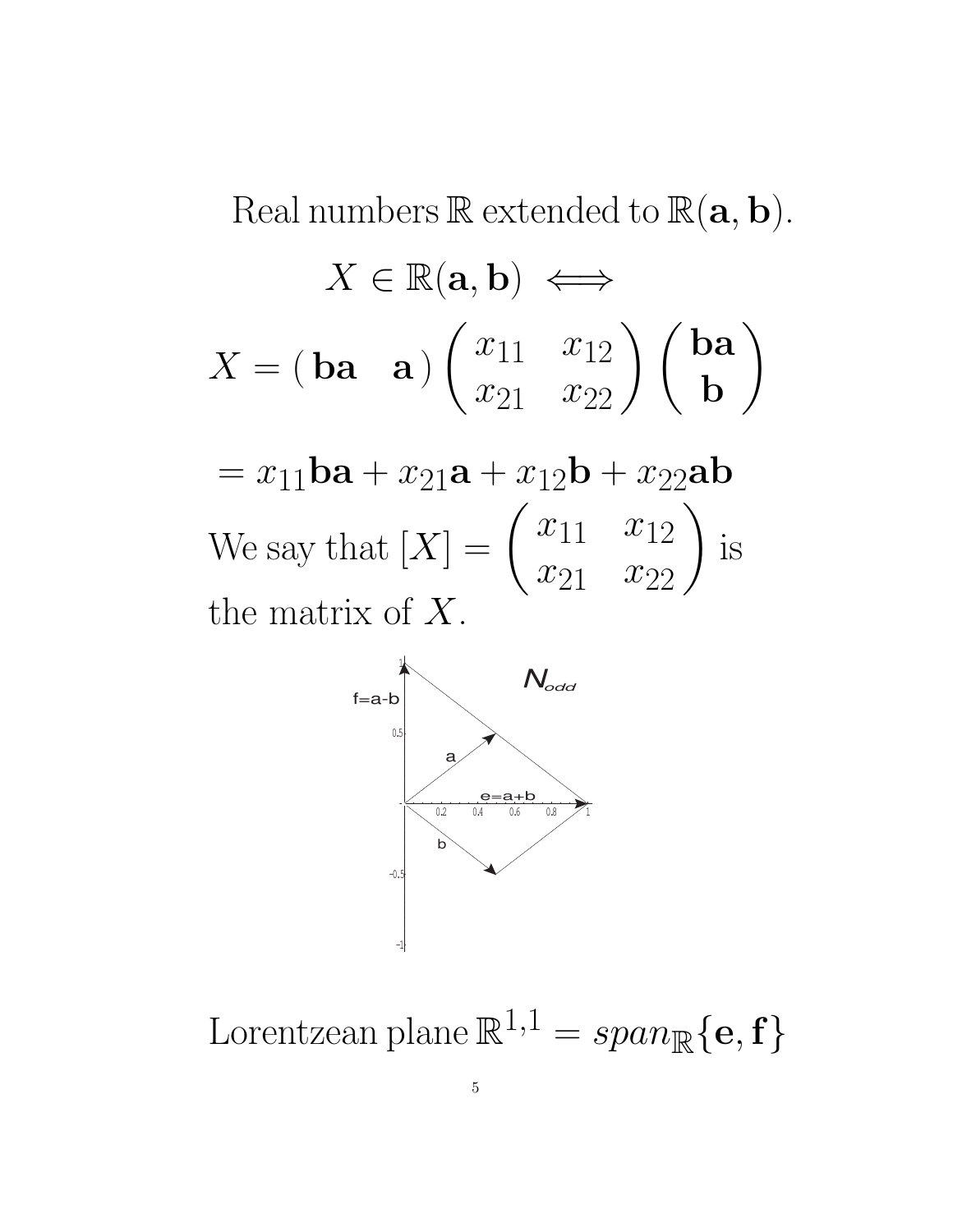Real numbers  $\mathbb R$  extended to  $\mathbb R(\mathbf a, \mathbf b)$ .

$$
X \in \mathbb{R}(\mathbf{a}, \mathbf{b}) \iff
$$

$$
X = (\mathbf{ba} \quad \mathbf{a}) \begin{pmatrix} x_{11} & x_{12} \\ x_{21} & x_{22} \end{pmatrix} \begin{pmatrix} \mathbf{ba} \\ \mathbf{b} \end{pmatrix}
$$

 $= x_{11}$ ba +  $x_{21}$ a +  $x_{12}$ b +  $x_{22}$ ab We say that  $[X] = \begin{pmatrix} x_{11} & x_{12} \\ x_{21} & x_{22} \end{pmatrix}$ is the matrix of  $X$ .



Lorentzean plane  $\mathbb{R}^{1,1} = span_{\mathbb{R}}\{\mathbf{e}, \mathbf{f}\}\$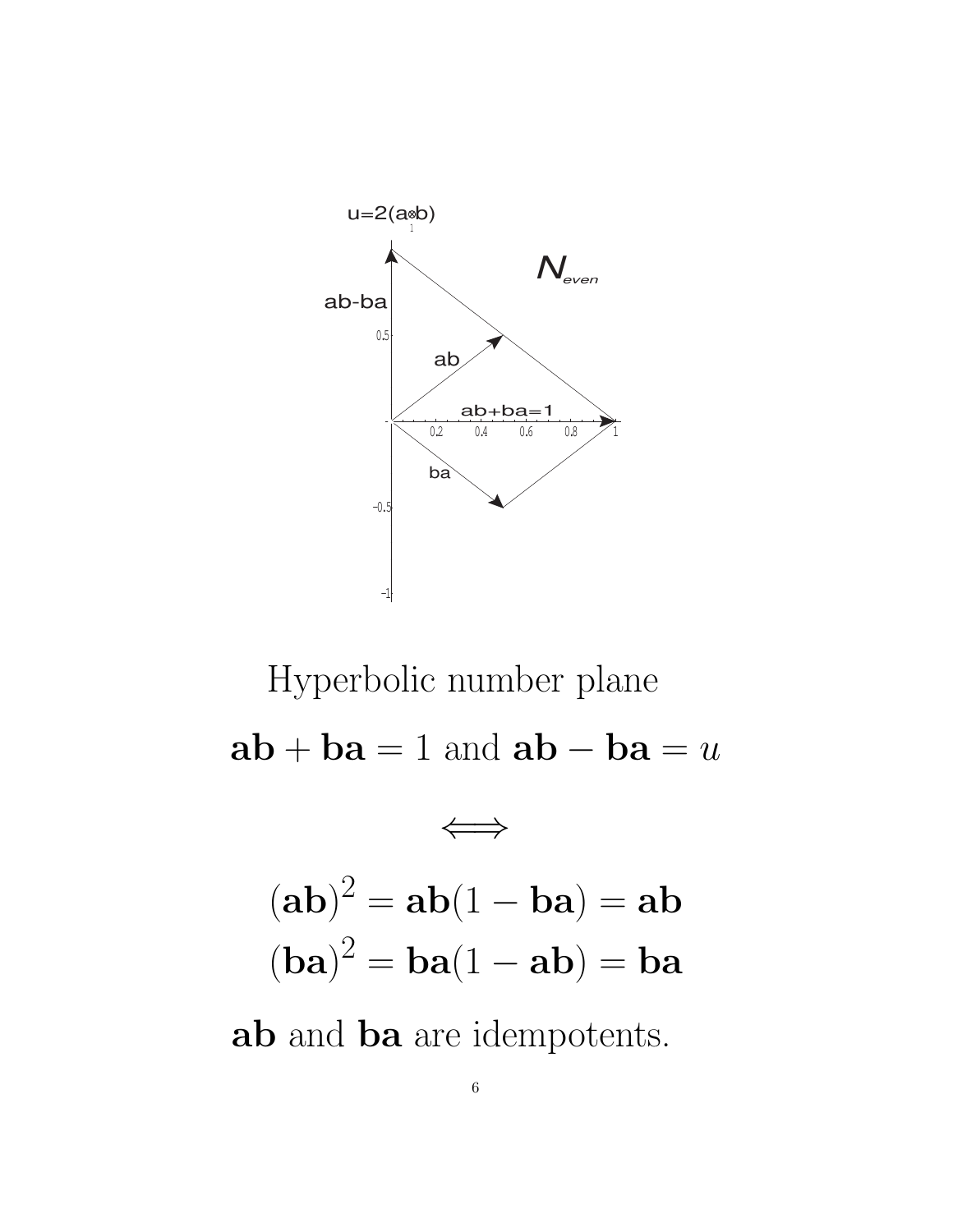

Hyperbolic number plane  $ab + ba = 1$  and  $ab - ba = u$ ⇐⇒  $(ab)^2 = ab(1 - ba) = ab$  $(ba)^2 = ba(1 - ab) = ba$ ab and ba are idempotents.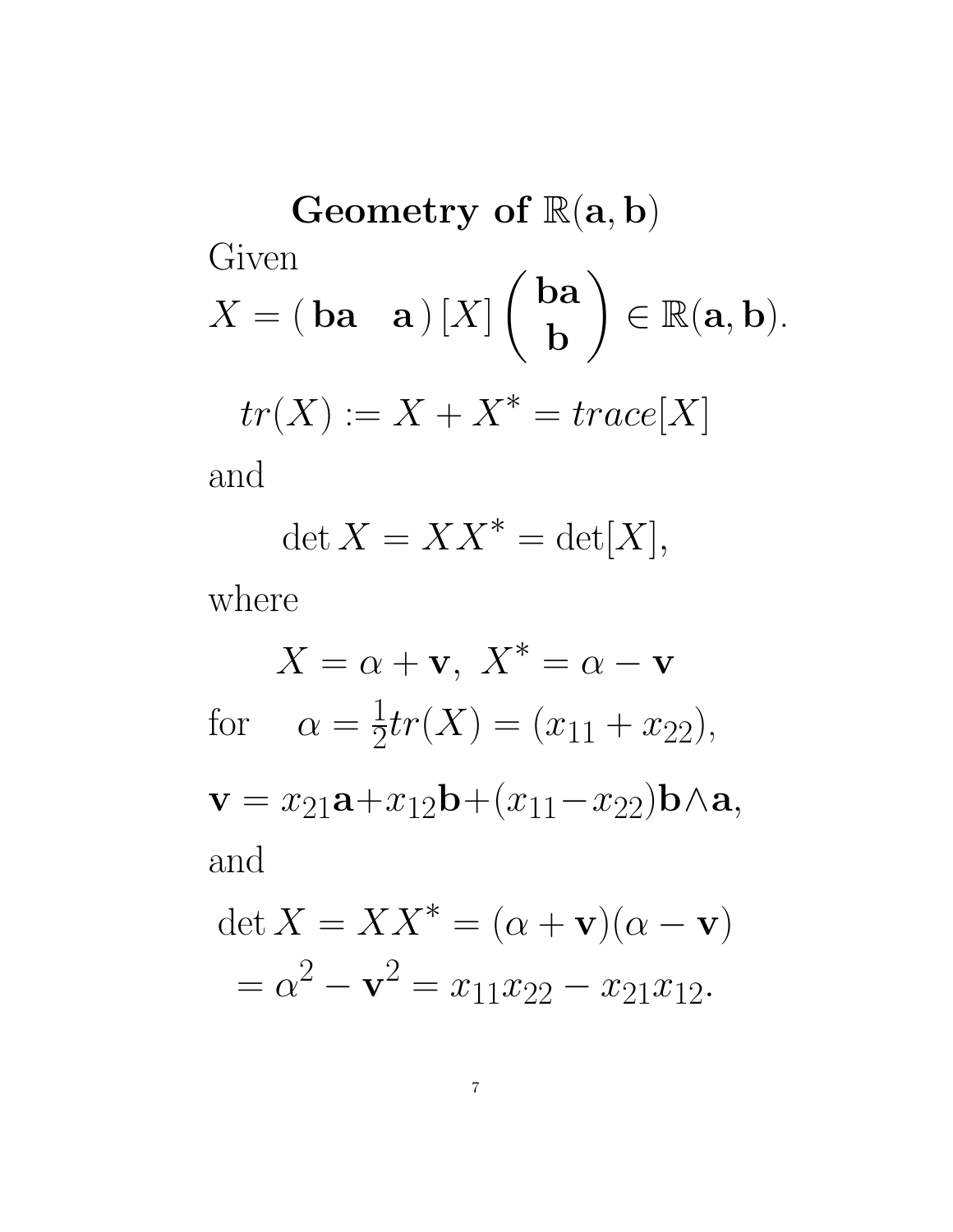Geometry of  $\mathbb{R}(\mathbf{a},\mathbf{b})$ Given  $X = (\textbf{ba} \quad \textbf{a}) [X]$  ba b  $\setminus$  $\in \mathbb{R}(\mathbf{a},\mathbf{b}).$  $tr(X) := X + X^* = trace[X]$ 

and

$$
\det X = XX^* = \det[X],
$$

where

$$
X = \alpha + \mathbf{v}, \ X^* = \alpha - \mathbf{v}
$$
  
for 
$$
\alpha = \frac{1}{2}tr(X) = (x_{11} + x_{22}),
$$

$$
\mathbf{v} = x_{21}\mathbf{a} + x_{12}\mathbf{b} + (x_{11} - x_{22})\mathbf{b} \wedge \mathbf{a},
$$
and  

$$
\det X = XX^* = (\alpha + \mathbf{v})(\alpha - \mathbf{v})
$$

$$
= \alpha^2 - \mathbf{v}^2 = x_{11}x_{22} - x_{21}x_{12}.
$$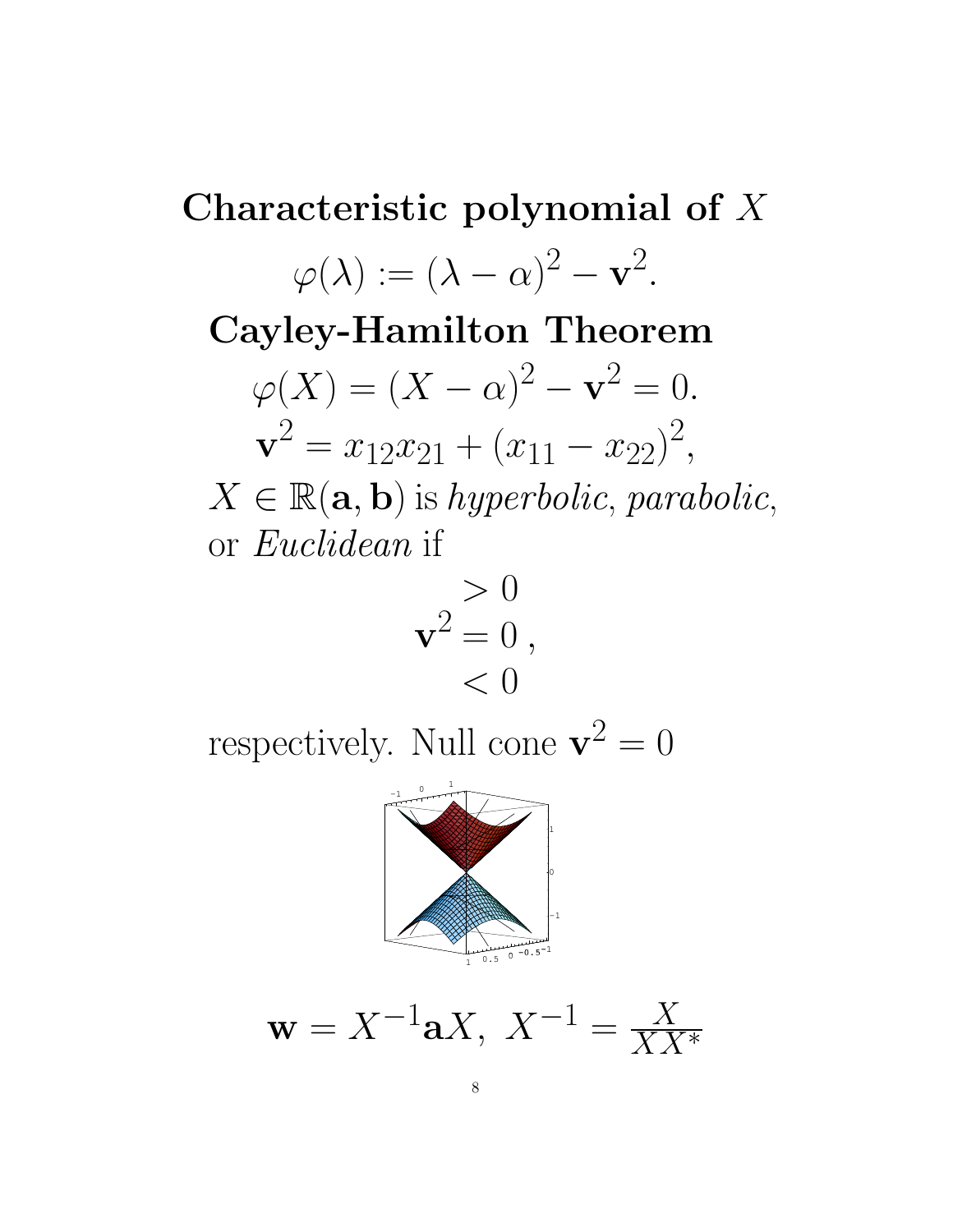Characteristic polynomial of X  $\varphi(\lambda) := (\lambda - \alpha)^2 - \mathbf{v}^2.$ Cayley-Hamilton Theorem  $\varphi(X) = (X - \alpha)^2 - \mathbf{v}^2 = 0.$  $\mathbf{v}^2 = x_{12}x_{21} + (x_{11} - x_{22})^2,$  $X \in \mathbb{R}(\mathbf{a}, \mathbf{b})$  is hyperbolic, parabolic, or Euclidean if

$$
\mathbf{v}^2 = 0,
$$
  

$$
< 0
$$

respectively. Null cone  $\mathbf{v}^2 = 0$ 



$$
\mathbf{w} = X^{-1} \mathbf{a} X, \ X^{-1} = \frac{X}{X X^*}
$$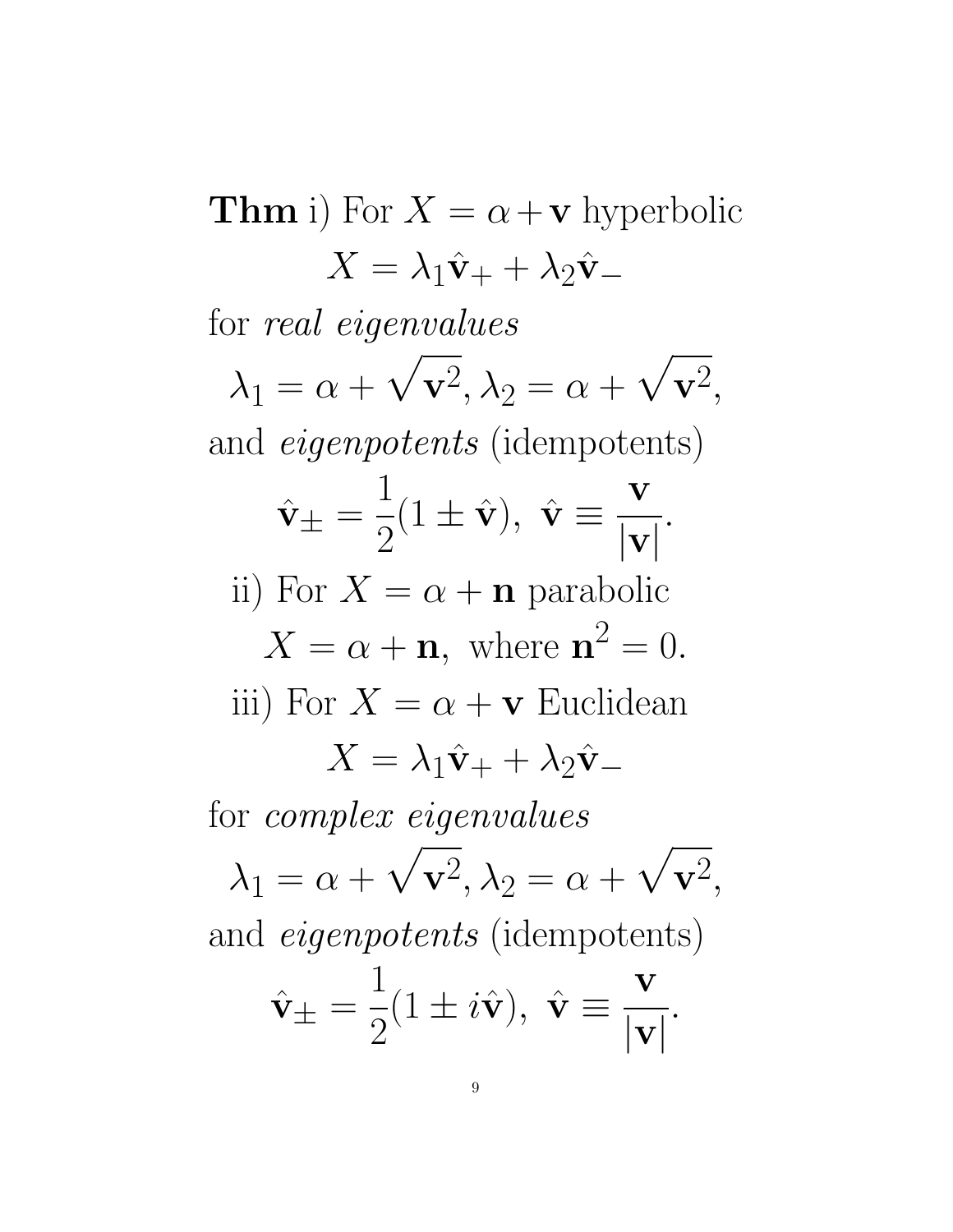**Thm** i) For  $X = \alpha + v$  hyperbolic  $X = \lambda_1 \hat{\mathbf{v}}_+ + \lambda_2 \hat{\mathbf{v}}_$ for real eigenvalues  $\lambda_1 = \alpha +$  $\sqrt{\mathbf{v}^2}, \lambda_2 = \alpha +$  $\sqrt{\mathbf{v}^2},$ and eigenpotents (idempotents)  $\hat{\mathbf{v}}_{\pm}=$ 1 2  $(1 \pm \hat{\mathbf{v}}), \ \hat{\mathbf{v}} \equiv$ v  $|\mathbf{v}|$ . ii) For  $X = \alpha + \mathbf{n}$  parabolic  $X = \alpha + \mathbf{n}$ , where  $\mathbf{n}^2 = 0$ . iii) For  $X = \alpha + v$  Euclidean  $X = \lambda_1 \hat{\mathbf{v}}_+ + \lambda_2 \hat{\mathbf{v}}_$ for complex eigenvalues  $\lambda_1 = \alpha +$  $\sqrt{\mathbf{v}^2}, \lambda_2 = \alpha +$  $\sqrt{\mathbf{v}^2},$ and eigenpotents (idempotents)  $\hat{\mathbf{v}}_{\pm}=$ 1 2  $(1 \pm i\hat{\mathbf{v}}), \ \hat{\mathbf{v}} \equiv$ v  $|\mathbf{v}|$ .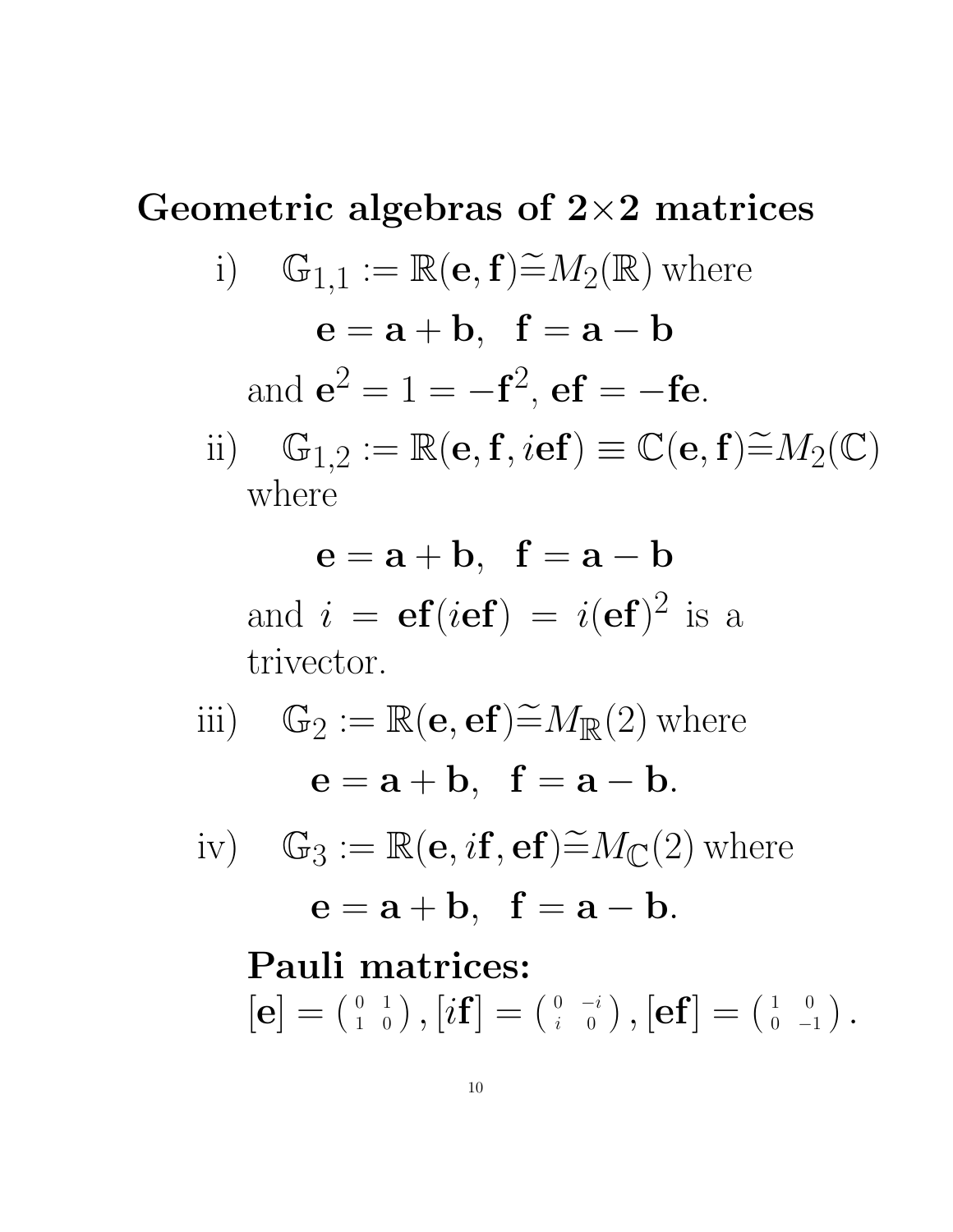## Geometric algebras of  $2\times 2$  matrices i)  $\mathbb{G}_{1,1} := \mathbb{R}(\mathbf{e}, \mathbf{f}) \widetilde{=} M_2(\mathbb{R})$  where  $e = a + b$ ,  $f = a - b$ and  $e^2 = 1 = -f^2$ ,  $ef = -fe$ . ii)  $\mathbb{G}_{1,2} := \mathbb{R}(\mathbf{e}, \mathbf{f}, i\mathbf{e}\mathbf{f}) \equiv \mathbb{C}(\mathbf{e}, \mathbf{f}) \widetilde{=} M_2(\mathbb{C})$ where

 $e = a + b$ ,  $f = a - b$ and  $i = ef(ief) = i(ef)^2$  is a trivector.

iii) 
$$
\mathbb{G}_2 := \mathbb{R}(\mathbf{e}, \mathbf{ef}) \widetilde{=} M_{\mathbb{R}}(2) \text{ where}
$$

$$
\mathbf{e} = \mathbf{a} + \mathbf{b}, \quad \mathbf{f} = \mathbf{a} - \mathbf{b}.
$$
  
iv) 
$$
\mathbb{G}_3 := \mathbb{R}(\mathbf{e}, i\mathbf{f}, \mathbf{ef}) \widetilde{=} M_{\mathbb{C}}(2) \text{ where}
$$

$$
\mathbf{e} = \mathbf{a} + \mathbf{b}, \quad \mathbf{f} = \mathbf{a} - \mathbf{b}.
$$
  
Pauli matrices:
$$
[\mathbf{e}] = \begin{pmatrix} 0 & 1 \\ 1 & 0 \end{pmatrix}, [i\mathbf{f}] = \begin{pmatrix} 0 & -i \\ i & 0 \end{pmatrix}, [\mathbf{ef}] = \begin{pmatrix} 1 & 0 \\ 0 & -1 \end{pmatrix}.
$$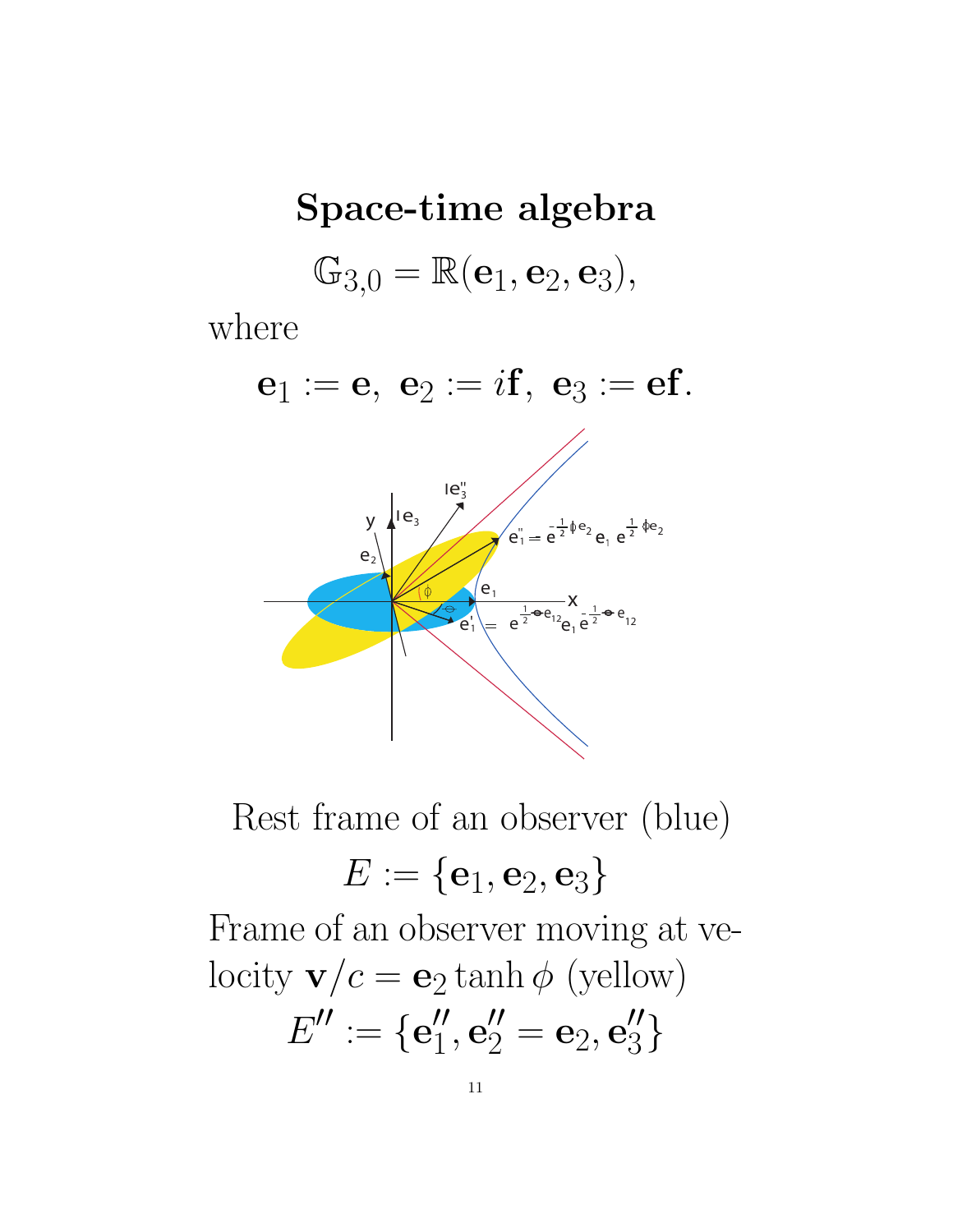# Space-time algebra  $\mathbb{G}_{3,0} = \mathbb{R}(\mathbf{e}_1, \mathbf{e}_2, \mathbf{e}_3),$

where

 $e_1 := e, e_2 := i f, e_3 := e f.$  $y \mid e_3$  $e_1^{\prime} = e^{\frac{1}{2}\phi e_2} e_1 e^{\frac{1}{2}\phi e_2}$  $X = e^{\frac{1}{2}\Theta e_{12}} = 1$ 

Rest frame of an observer (blue)

$$
E:=\{\mathbf{e}_1,\mathbf{e}_2,\mathbf{e}_3\}
$$

Frame of an observer moving at velocity  $\mathbf{v}/c = \mathbf{e}_2 \tanh \phi$  (yellow)  $E'' := {e''_1, e''_2 = e_2, e''_3}$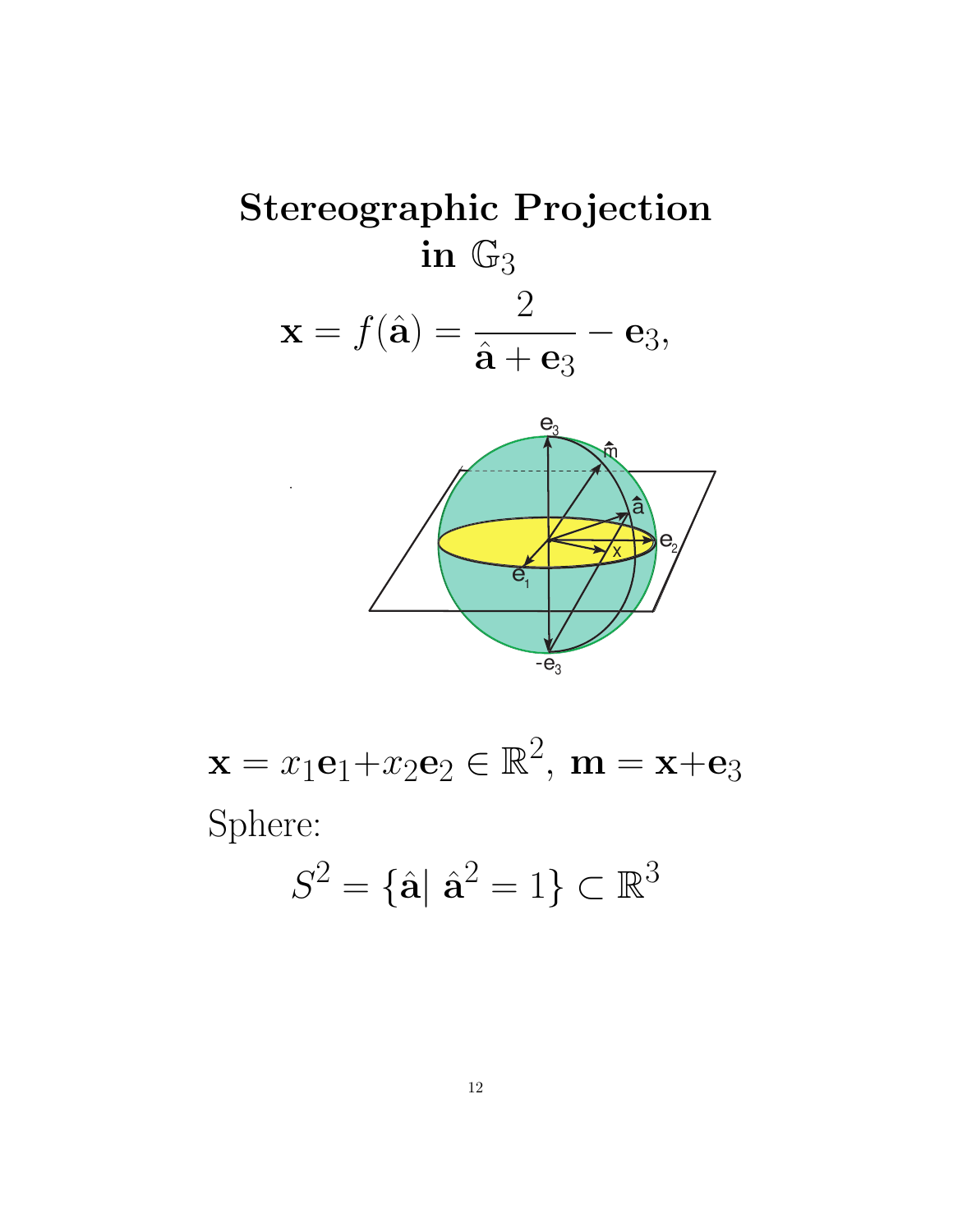



 $\mathbf{x} = x_1 \mathbf{e}_1 + x_2 \mathbf{e}_2 \in \mathbb{R}^2$ ,  $\mathbf{m} = \mathbf{x} + \mathbf{e}_3$ Sphere:

$$
S^2 = \{\hat{\mathbf{a}} \mid \hat{\mathbf{a}}^2 = 1\} \subset \mathbb{R}^3
$$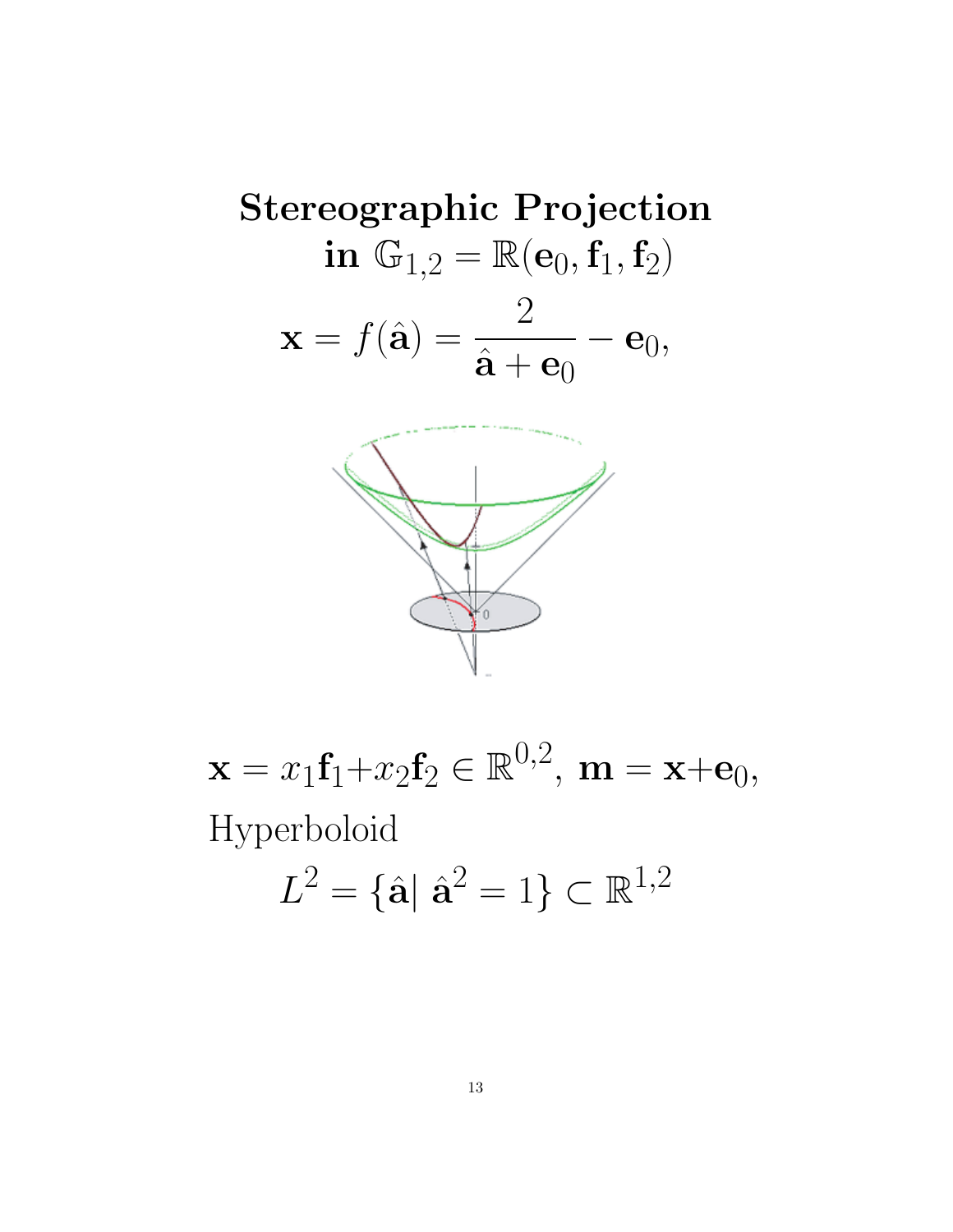**Stereographic Projection**  
\n**in** 
$$
\mathbb{G}_{1,2} = \mathbb{R}(\mathbf{e}_0, \mathbf{f}_1, \mathbf{f}_2)
$$
  
\n $\mathbf{x} = f(\hat{\mathbf{a}}) = \frac{2}{\hat{\mathbf{a}} + \mathbf{e}_0} - \mathbf{e}_0,$ 



 $\mathbf{x} = x_1 \mathbf{f}_1 + x_2 \mathbf{f}_2 \in \mathbb{R}^{0,2}, \ \mathbf{m} = \mathbf{x} + \mathbf{e}_0,$ Hyperboloid

$$
L^2 = \{\hat{\mathbf{a}} \mid \hat{\mathbf{a}}^2 = 1\} \subset \mathbb{R}^{1,2}
$$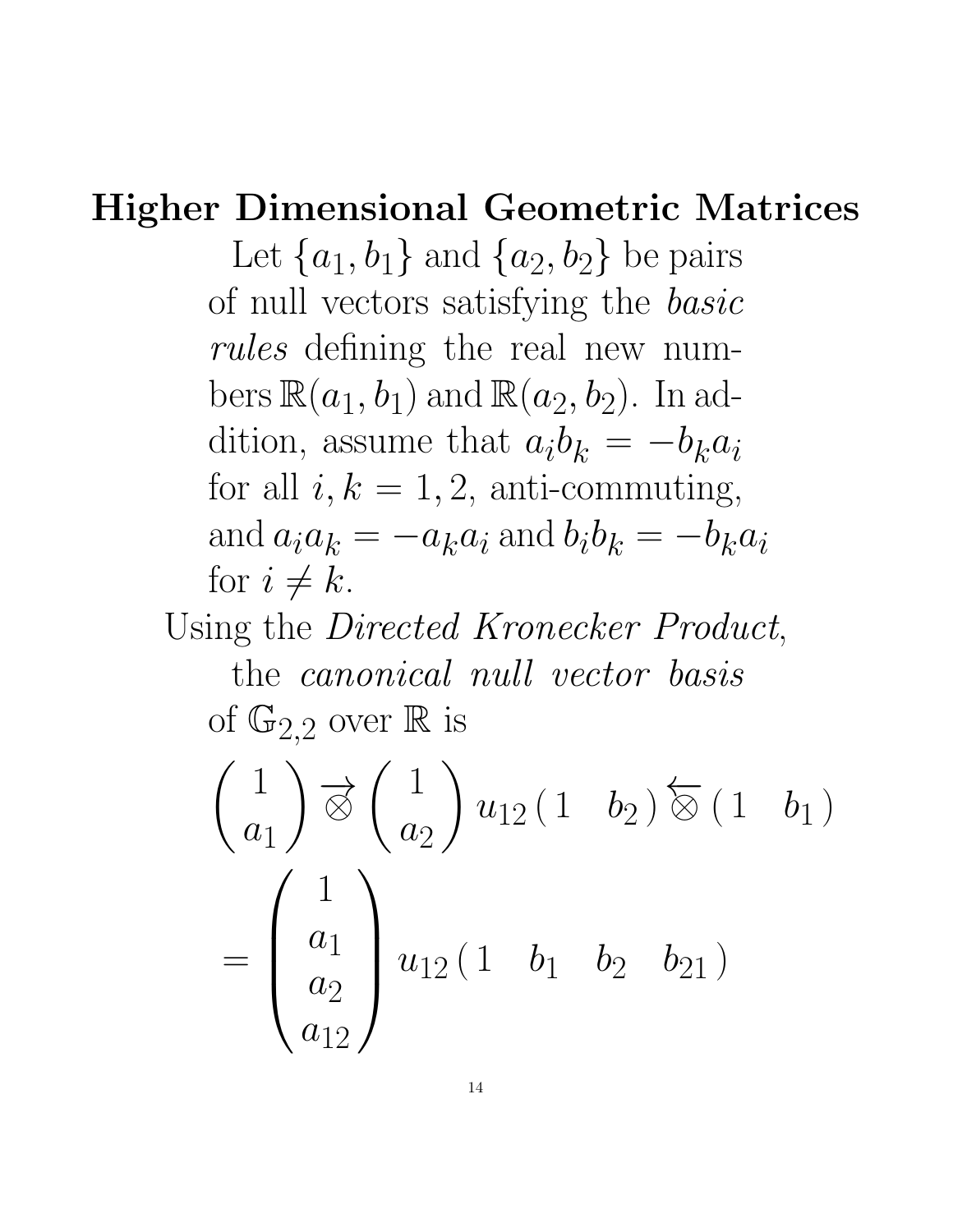### Higher Dimensional Geometric Matrices

Let  $\{a_1, b_1\}$  and  $\{a_2, b_2\}$  be pairs of null vectors satisfying the basic rules defining the real new numbers  $\mathbb{R}(a_1, b_1)$  and  $\mathbb{R}(a_2, b_2)$ . In addition, assume that  $a_i b_k = -b_k a_i$ for all  $i, k = 1, 2$ , anti-commuting, and  $a_i a_k = -a_k a_i$  and  $b_i b_k = -b_k a_i$ for  $i \neq k$ .

Using the *Directed Kronecker Product*,

the canonical null vector basis of  $\mathbb{G}_{2,2}$  over  $\mathbb R$  is

$$
\begin{pmatrix} 1 \\ a_1 \end{pmatrix} \overrightarrow{\otimes} \begin{pmatrix} 1 \\ a_2 \end{pmatrix} u_{12} (1 \quad b_2) \overleftarrow{\otimes} (1 \quad b_1)
$$

$$
= \begin{pmatrix} 1 \\ a_1 \\ a_2 \\ a_{12} \end{pmatrix} u_{12} (1 \quad b_1 \quad b_2 \quad b_{21})
$$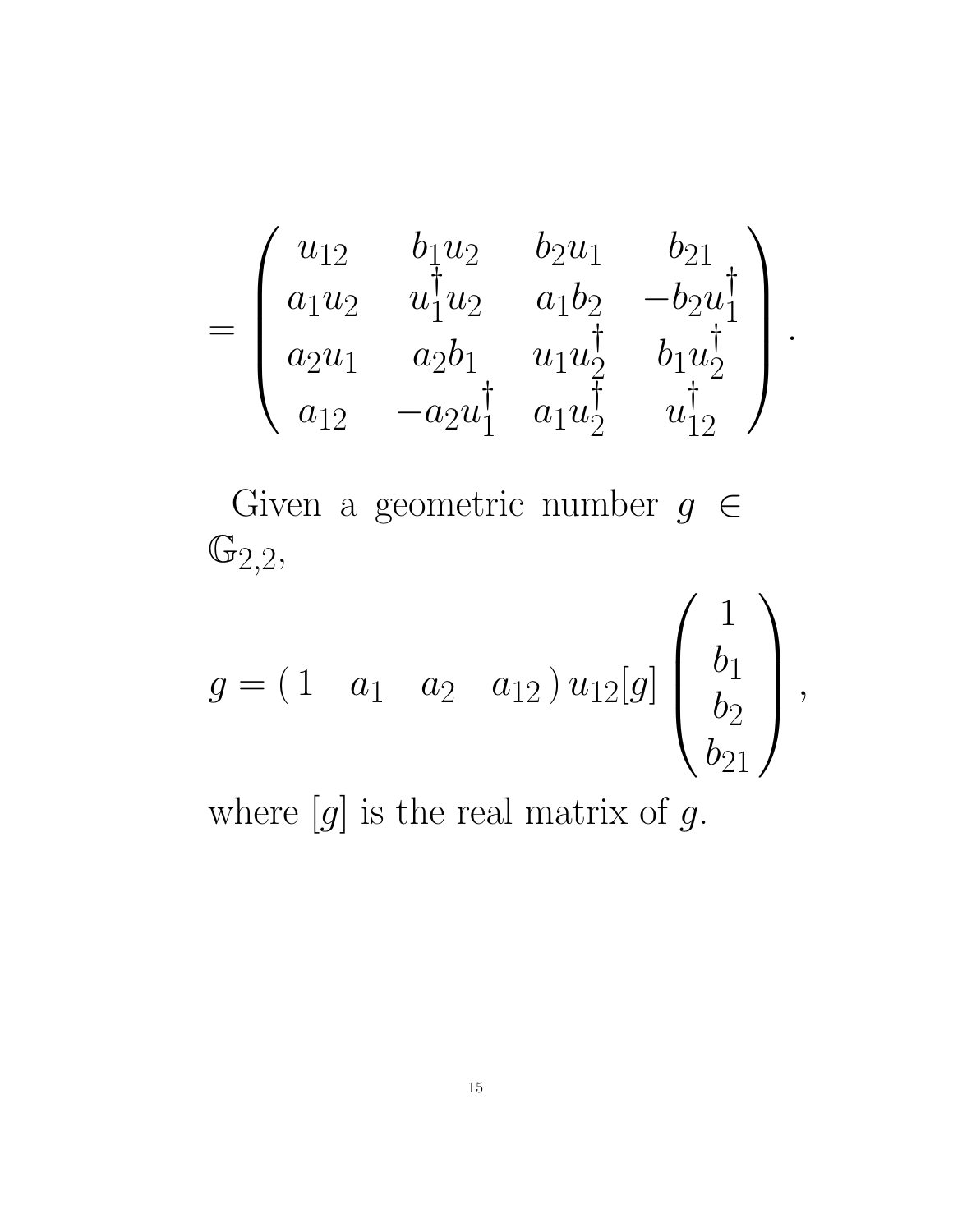$$
= \begin{pmatrix} u_{12} & b_1 u_2 & b_2 u_1 & b_{21} \\ a_1 u_2 & u_1^{\dagger} u_2 & a_1 b_2 & -b_2 u_1^{\dagger} \\ a_2 u_1 & a_2 b_1 & u_1 u_2^{\dagger} & b_1 u_2^{\dagger} \\ a_{12} & -a_2 u_1^{\dagger} & a_1 u_2^{\dagger} & u_1^{\dagger} \\ \end{pmatrix}.
$$
  
\nGiven a geometric number  $g \in$   
\n
$$
\mathbb{G}_{2,2},
$$
  
\n
$$
g = (1 \quad a_1 \quad a_2 \quad a_{12}) u_{12}[g] \begin{pmatrix} 1 \\ b_1 \\ b_2 \\ b_21 \end{pmatrix},
$$

where  $[g]$  is the real matrix of  $g$ .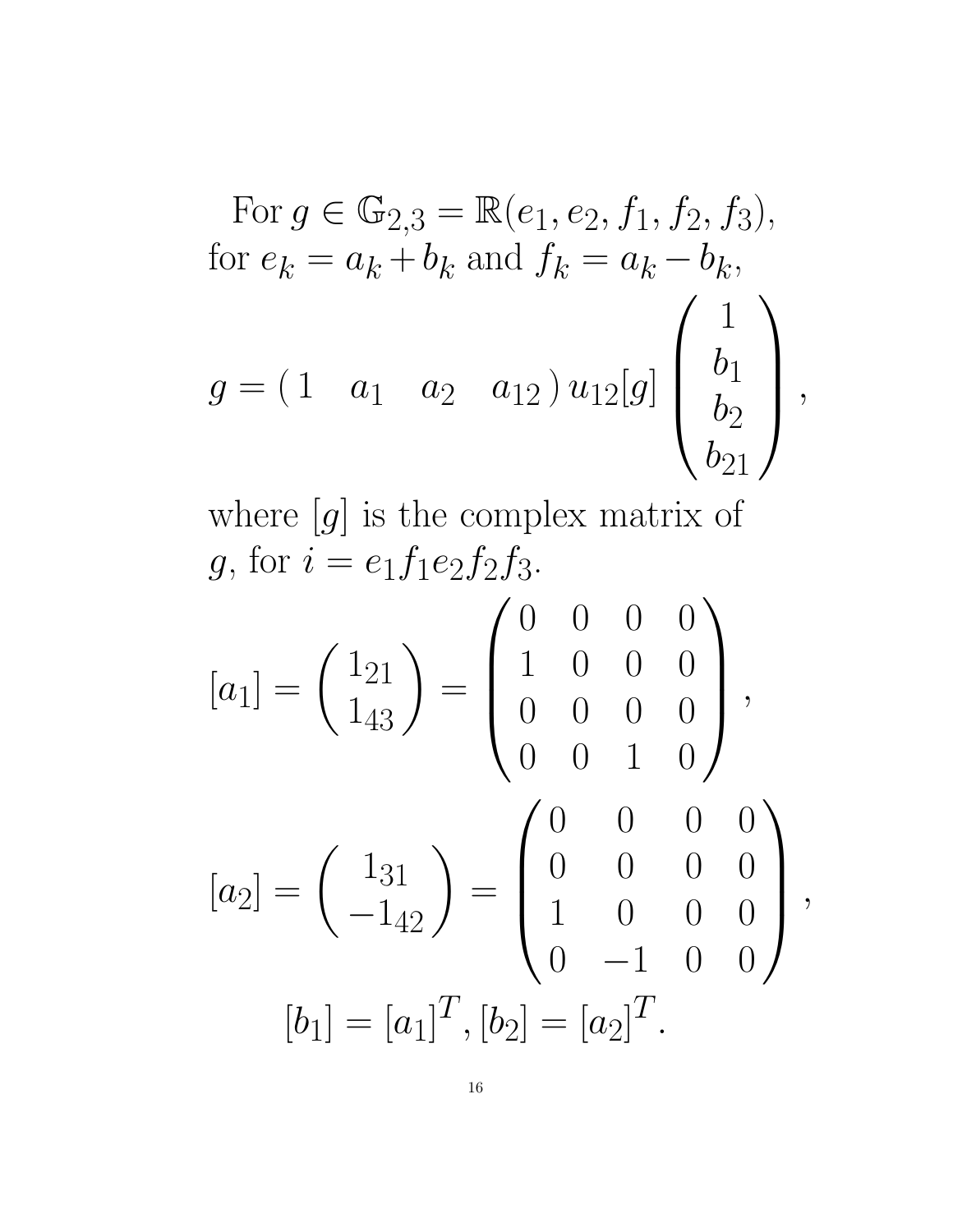For 
$$
g \in \mathbb{G}_{2,3} = \mathbb{R}(e_1, e_2, f_1, f_2, f_3)
$$
,  
for  $e_k = a_k + b_k$  and  $f_k = a_k - b_k$ ,  
 $g = (1 \quad a_1 \quad a_2 \quad a_{12}) u_{12}[g] \begin{pmatrix} 1 \\ b_1 \\ b_2 \\ b_21 \end{pmatrix}$ ,

where  $[g]$  is the complex matrix of g, for  $i = e_1 f_1 e_2 f_2 f_3$ .

$$
[a_1] = \begin{pmatrix} 1_{21} \\ 1_{43} \end{pmatrix} = \begin{pmatrix} 0 & 0 & 0 & 0 \\ 1 & 0 & 0 & 0 \\ 0 & 0 & 0 & 0 \\ 0 & 0 & 1 & 0 \end{pmatrix},
$$

$$
[a_2] = \begin{pmatrix} 1_{31} \\ -1_{42} \end{pmatrix} = \begin{pmatrix} 0 & 0 & 0 & 0 \\ 0 & 0 & 0 & 0 \\ 1 & 0 & 0 & 0 \\ 0 & -1 & 0 & 0 \end{pmatrix},
$$

$$
[b_1] = [a_1]^T, [b_2] = [a_2]^T.
$$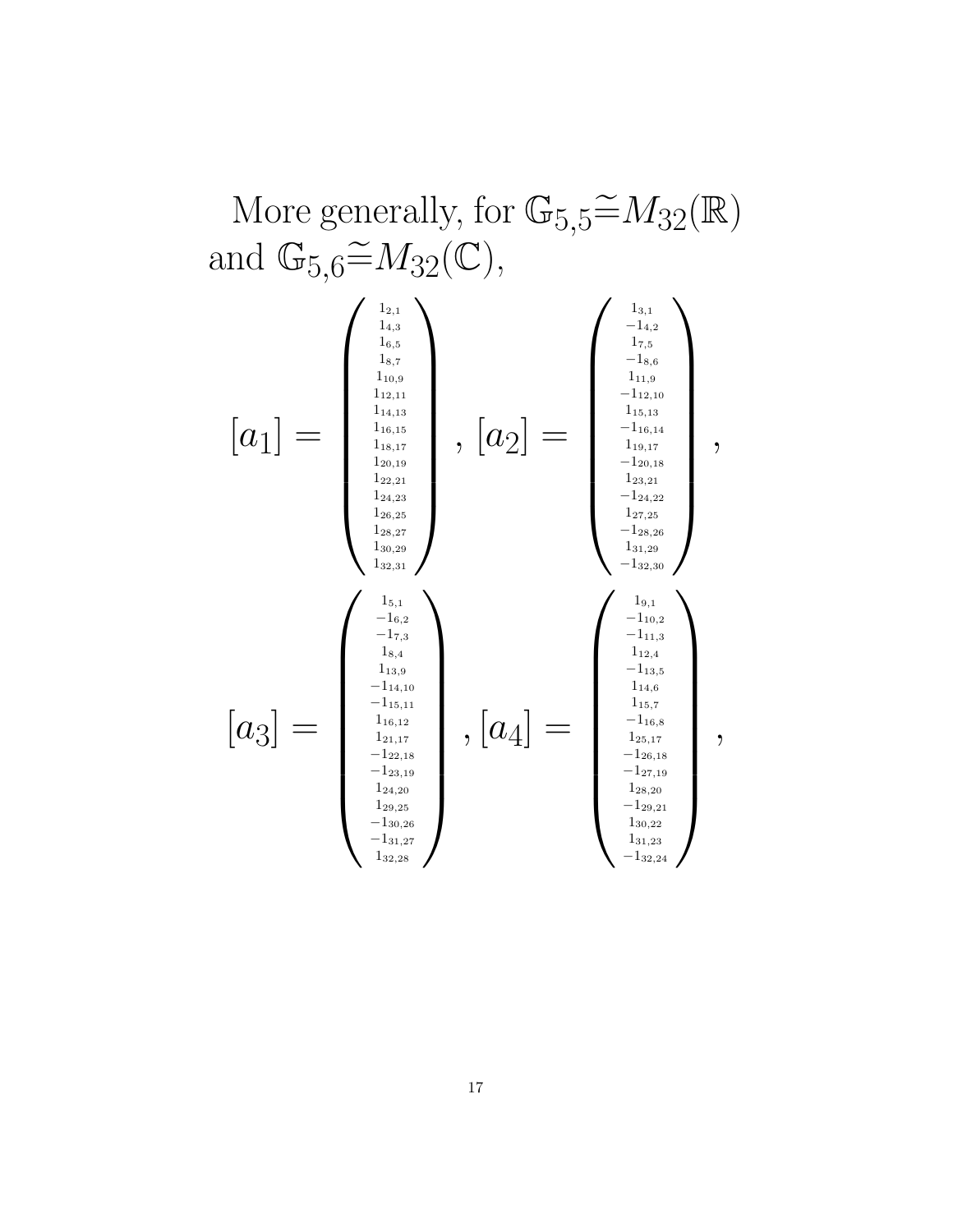More generally, for  $\mathbb{G}_{5,5} \widetilde{=} M_{32}(\mathbb{R})$ and  $\mathbb{G}_{5,6} \widetilde{=} M_{32}(\mathbb{C}),$ 

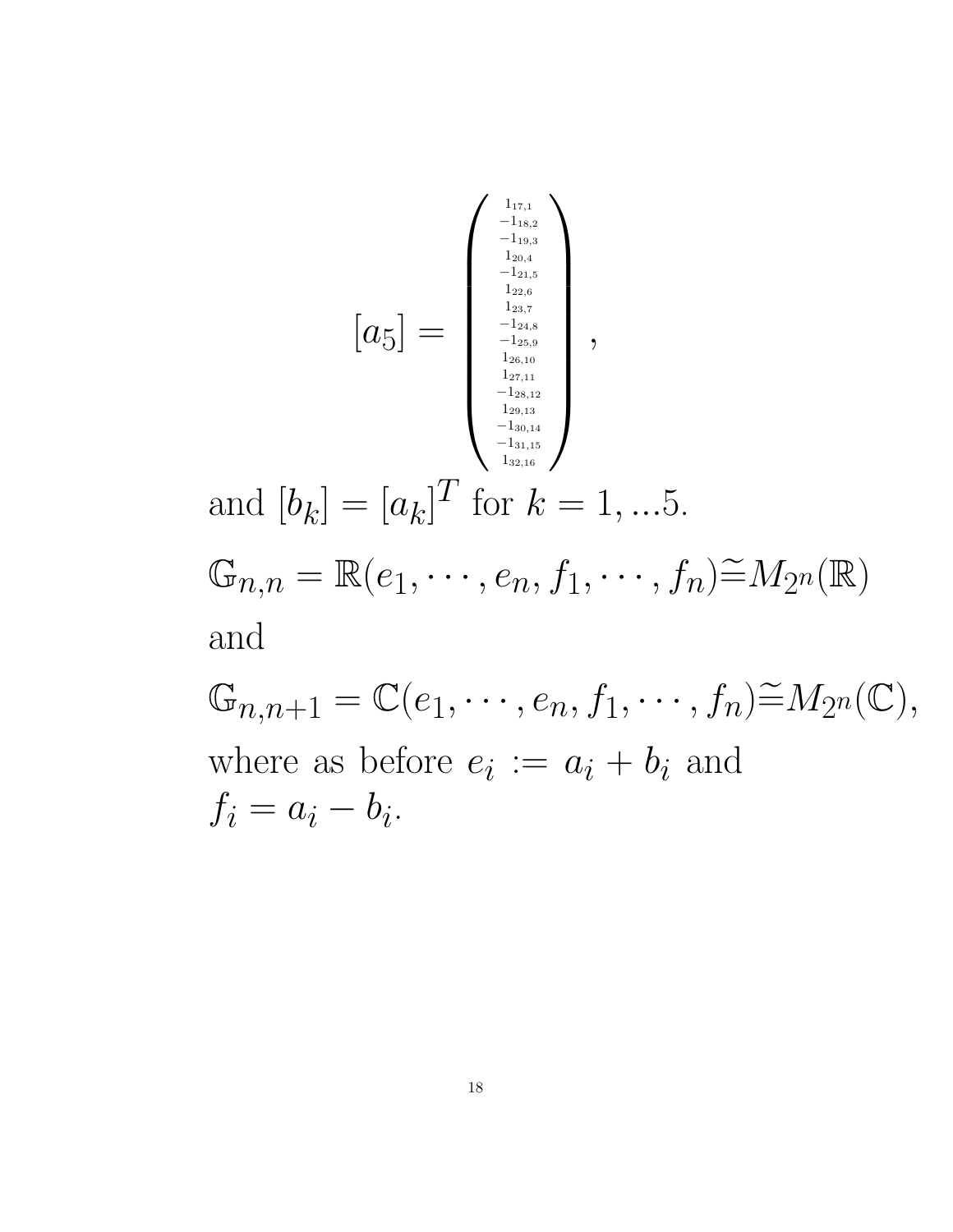$$
[a_{5}] = \begin{pmatrix} \frac{1}{100.4} \\ \frac{1}{100.4} \\ \frac{1}{120.4} \\ \frac{1}{120.4} \\ \frac{1}{120.15} \\ \frac{1}{120.15} \\ \frac{1}{120.15} \\ \frac{1}{120.15} \\ \frac{1}{120.15} \\ \frac{1}{120.15} \\ \frac{1}{120.15} \\ \frac{1}{120.15} \\ \frac{1}{120.15} \\ \frac{1}{120.15} \\ \frac{1}{120.15} \\ \frac{1}{120.15} \\ \frac{1}{120.15} \\ \frac{1}{120.15} \\ \frac{1}{120.15} \\ \frac{1}{120.15} \\ \frac{1}{120.15} \\ \frac{1}{120.15} \\ \frac{1}{120.15} \\ \frac{1}{120.15} \\ \frac{1}{120.15} \\ \frac{1}{120.15} \\ \frac{1}{120.15} \\ \frac{1}{120.15} \\ \frac{1}{120.15} \\ \frac{1}{120.15} \\ \frac{1}{120.15} \\ \frac{1}{120.15} \\ \frac{1}{120.15} \\ \frac{1}{120.15} \\ \frac{1}{120.15} \\ \frac{1}{120.15} \\ \frac{1}{120.15} \\ \frac{1}{120.15} \\ \frac{1}{120.15} \\ \frac{1}{120.15} \\ \frac{1}{120.15} \\ \frac{1}{120.15} \\ \frac{1}{120.15} \\ \frac{1}{120.15} \\ \frac{1}{120.15} \\ \frac{1}{120.15} \\ \frac{1}{120.15} \\ \frac{1}{120.15} \\ \frac{1}{120.15} \\ \frac{1}{120.15} \\ \frac{1}{120.15} \\ \frac{1}{120.15} \\ \frac{1}{120.15} \\ \frac{1}{120.15} \\ \frac{1}{120.15} \\ \frac{1}{120.15} \\ \frac{1}{120.15} \\ \frac{1}{120.1
$$